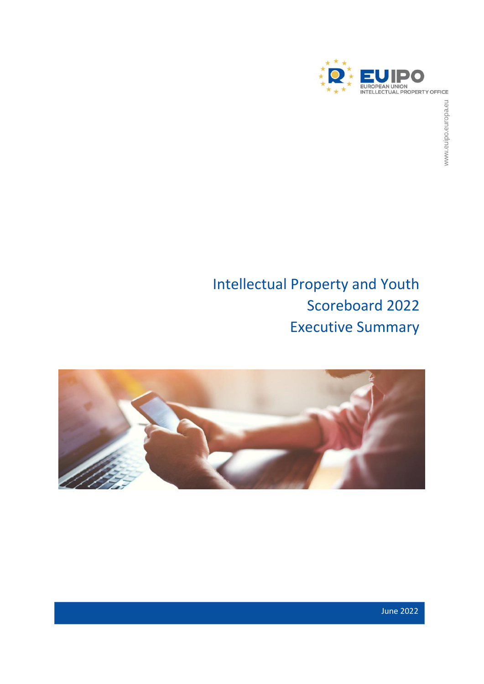

# Intellectual Property and Youth Scoreboard 2022 Executive Summary

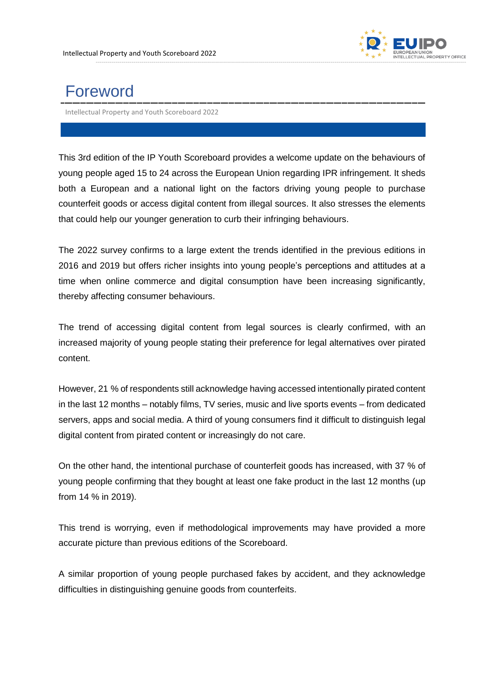

## Foreword

Intellectual Property and Youth Scoreboard 2022

This 3rd edition of the IP Youth Scoreboard provides a welcome update on the behaviours of young people aged 15 to 24 across the European Union regarding IPR infringement. It sheds both a European and a national light on the factors driving young people to purchase counterfeit goods or access digital content from illegal sources. It also stresses the elements that could help our younger generation to curb their infringing behaviours.

The 2022 survey confirms to a large extent the trends identified in the previous editions in 2016 and 2019 but offers richer insights into young people's perceptions and attitudes at a time when online commerce and digital consumption have been increasing significantly, thereby affecting consumer behaviours.

The trend of accessing digital content from legal sources is clearly confirmed, with an increased majority of young people stating their preference for legal alternatives over pirated content.

However, 21 % of respondents still acknowledge having accessed intentionally pirated content in the last 12 months – notably films, TV series, music and live sports events – from dedicated servers, apps and social media. A third of young consumers find it difficult to distinguish legal digital content from pirated content or increasingly do not care.

On the other hand, the intentional purchase of counterfeit goods has increased, with 37 % of young people confirming that they bought at least one fake product in the last 12 months (up from 14 % in 2019).

This trend is worrying, even if methodological improvements may have provided a more accurate picture than previous editions of the Scoreboard.

A similar proportion of young people purchased fakes by accident, and they acknowledge difficulties in distinguishing genuine goods from counterfeits.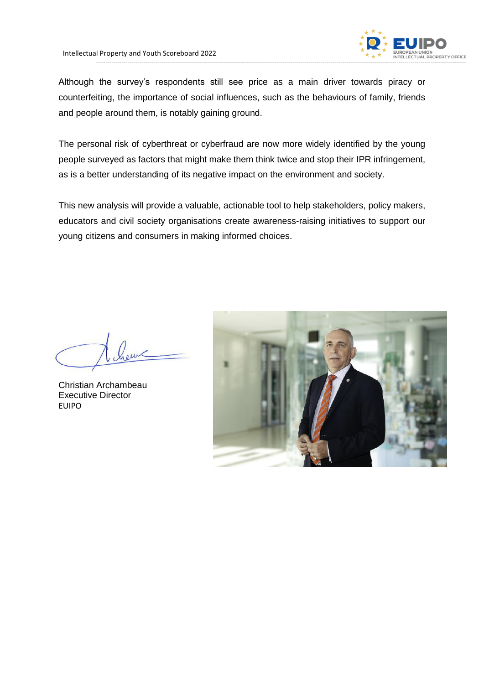

Although the survey's respondents still see price as a main driver towards piracy or counterfeiting, the importance of social influences, such as the behaviours of family, friends and people around them, is notably gaining ground.

The personal risk of cyberthreat or cyberfraud are now more widely identified by the young people surveyed as factors that might make them think twice and stop their IPR infringement, as is a better understanding of its negative impact on the environment and society.

This new analysis will provide a valuable, actionable tool to help stakeholders, policy makers, educators and civil society organisations create awareness-raising initiatives to support our young citizens and consumers in making informed choices.

Christian Archambeau Executive Director EUIPO

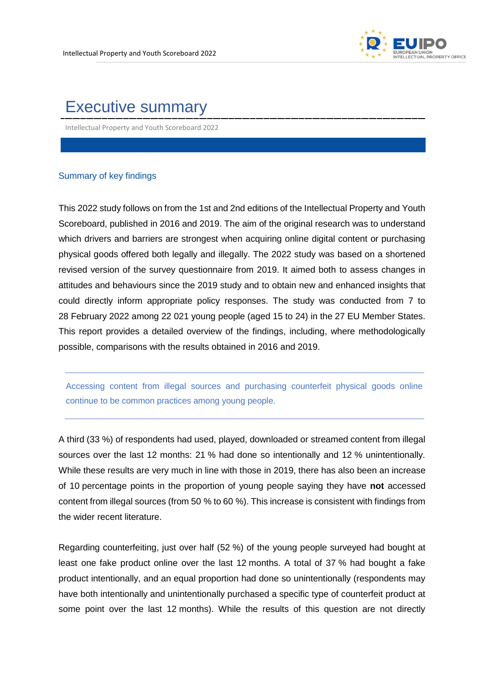

### Executive summary

Intellectual Property and Youth Scoreboard 2022

#### Summary of key findings

This 2022 study follows on from the 1st and 2nd editions of the Intellectual Property and Youth Scoreboard, published in 2016 and 2019. The aim of the original research was to understand which drivers and barriers are strongest when acquiring online digital content or purchasing physical goods offered both legally and illegally. The 2022 study was based on a shortened revised version of the survey questionnaire from 2019. It aimed both to assess changes in attitudes and behaviours since the 2019 study and to obtain new and enhanced insights that could directly inform appropriate policy responses. The study was conducted from 7 to 28 February 2022 among 22 021 young people (aged 15 to 24) in the 27 EU Member States. This report provides a detailed overview of the findings, including, where methodologically possible, comparisons with the results obtained in 2016 and 2019.

Accessing content from illegal sources and purchasing counterfeit physical goods online continue to be common practices among young people.

A third (33 %) of respondents had used, played, downloaded or streamed content from illegal sources over the last 12 months: 21 % had done so intentionally and 12 % unintentionally. While these results are very much in line with those in 2019, there has also been an increase of 10 percentage points in the proportion of young people saying they have **not** accessed content from illegal sources (from 50 % to 60 %). This increase is consistent with findings from the wider recent literature.

Regarding counterfeiting, just over half (52 %) of the young people surveyed had bought at least one fake product online over the last 12 months. A total of 37 % had bought a fake product intentionally, and an equal proportion had done so unintentionally (respondents may have both intentionally and unintentionally purchased a specific type of counterfeit product at some point over the last 12 months). While the results of this question are not directly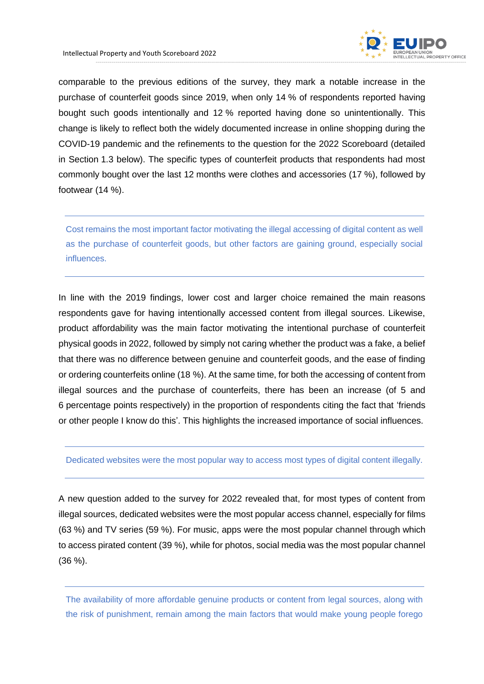

comparable to the previous editions of the survey, they mark a notable increase in the purchase of counterfeit goods since 2019, when only 14 % of respondents reported having bought such goods intentionally and 12 % reported having done so unintentionally. This change is likely to reflect both the widely documented increase in online shopping during the COVID-19 pandemic and the refinements to the question for the 2022 Scoreboard (detailed in Section 1.3 below). The specific types of counterfeit products that respondents had most commonly bought over the last 12 months were clothes and accessories (17 %), followed by footwear (14 %).

Cost remains the most important factor motivating the illegal accessing of digital content as well as the purchase of counterfeit goods, but other factors are gaining ground, especially social influences.

In line with the 2019 findings, lower cost and larger choice remained the main reasons respondents gave for having intentionally accessed content from illegal sources. Likewise, product affordability was the main factor motivating the intentional purchase of counterfeit physical goods in 2022, followed by simply not caring whether the product was a fake, a belief that there was no difference between genuine and counterfeit goods, and the ease of finding or ordering counterfeits online (18 %). At the same time, for both the accessing of content from illegal sources and the purchase of counterfeits, there has been an increase (of 5 and 6 percentage points respectively) in the proportion of respondents citing the fact that 'friends or other people I know do this'. This highlights the increased importance of social influences.

#### Dedicated websites were the most popular way to access most types of digital content illegally.

A new question added to the survey for 2022 revealed that, for most types of content from illegal sources, dedicated websites were the most popular access channel, especially for films (63 %) and TV series (59 %). For music, apps were the most popular channel through which to access pirated content (39 %), while for photos, social media was the most popular channel (36 %).

The availability of more affordable genuine products or content from legal sources, along with the risk of punishment, remain among the main factors that would make young people forego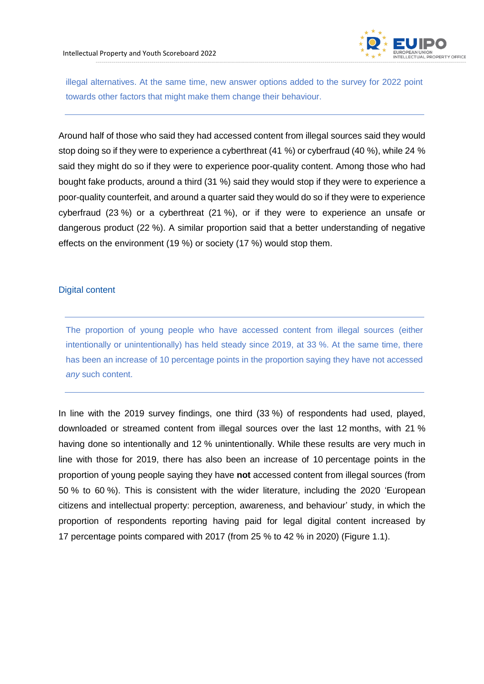

illegal alternatives. At the same time, new answer options added to the survey for 2022 point towards other factors that might make them change their behaviour.

Around half of those who said they had accessed content from illegal sources said they would stop doing so if they were to experience a cyberthreat (41 %) or cyberfraud (40 %), while 24 % said they might do so if they were to experience poor-quality content. Among those who had bought fake products, around a third (31 %) said they would stop if they were to experience a poor-quality counterfeit, and around a quarter said they would do so if they were to experience cyberfraud (23 %) or a cyberthreat (21 %), or if they were to experience an unsafe or dangerous product (22 %). A similar proportion said that a better understanding of negative effects on the environment (19 %) or society (17 %) would stop them.

#### Digital content

The proportion of young people who have accessed content from illegal sources (either intentionally or unintentionally) has held steady since 2019, at 33 %. At the same time, there has been an increase of 10 percentage points in the proportion saying they have not accessed *any* such content.

In line with the 2019 survey findings, one third (33 %) of respondents had used, played, downloaded or streamed content from illegal sources over the last 12 months, with 21 % having done so intentionally and 12 % unintentionally. While these results are very much in line with those for 2019, there has also been an increase of 10 percentage points in the proportion of young people saying they have **not** accessed content from illegal sources (from 50 % to 60 %). This is consistent with the wider literature, including the 2020 'European citizens and intellectual property: perception, awareness, and behaviour' study, in which the proportion of respondents reporting having paid for legal digital content increased by 17 percentage points compared with 2017 (from 25 % to 42 % in 2020) (Figure 1.1).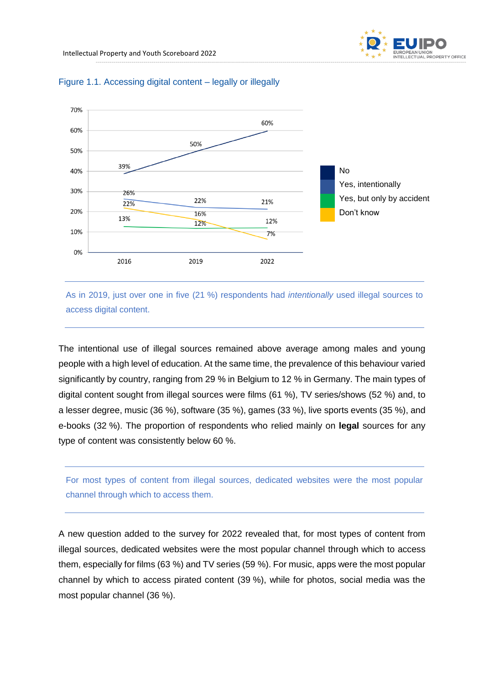



#### Figure 1.1. Accessing digital content – legally or illegally

As in 2019, just over one in five (21 %) respondents had *intentionally* used illegal sources to access digital content.

The intentional use of illegal sources remained above average among males and young people with a high level of education. At the same time, the prevalence of this behaviour varied significantly by country, ranging from 29 % in Belgium to 12 % in Germany. The main types of digital content sought from illegal sources were films (61 %), TV series/shows (52 %) and, to a lesser degree, music (36 %), software (35 %), games (33 %), live sports events (35 %), and e-books (32 %). The proportion of respondents who relied mainly on **legal** sources for any type of content was consistently below 60 %.

For most types of content from illegal sources, dedicated websites were the most popular channel through which to access them.

A new question added to the survey for 2022 revealed that, for most types of content from illegal sources, dedicated websites were the most popular channel through which to access them, especially for films (63 %) and TV series (59 %). For music, apps were the most popular channel by which to access pirated content (39 %), while for photos, social media was the most popular channel (36 %).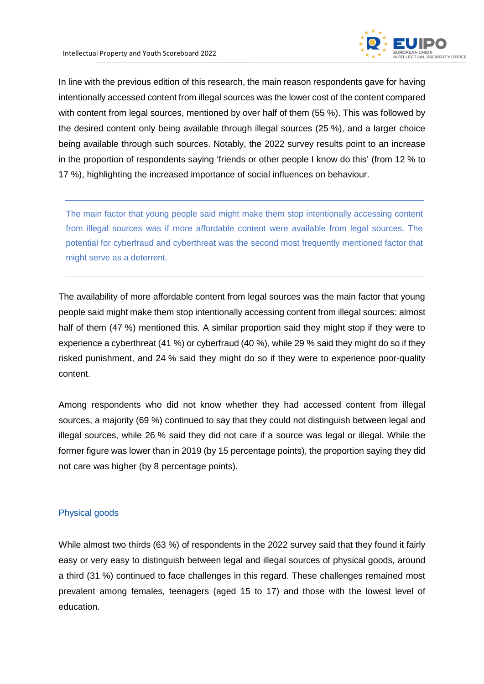

In line with the previous edition of this research, the main reason respondents gave for having intentionally accessed content from illegal sources was the lower cost of the content compared with content from legal sources, mentioned by over half of them (55 %). This was followed by the desired content only being available through illegal sources (25 %), and a larger choice being available through such sources. Notably, the 2022 survey results point to an increase in the proportion of respondents saying 'friends or other people I know do this' (from 12 % to 17 %), highlighting the increased importance of social influences on behaviour.

The main factor that young people said might make them stop intentionally accessing content from illegal sources was if more affordable content were available from legal sources. The potential for cyberfraud and cyberthreat was the second most frequently mentioned factor that might serve as a deterrent.

The availability of more affordable content from legal sources was the main factor that young people said might make them stop intentionally accessing content from illegal sources: almost half of them (47 %) mentioned this. A similar proportion said they might stop if they were to experience a cyberthreat (41 %) or cyberfraud (40 %), while 29 % said they might do so if they risked punishment, and 24 % said they might do so if they were to experience poor-quality content.

Among respondents who did not know whether they had accessed content from illegal sources, a majority (69 %) continued to say that they could not distinguish between legal and illegal sources, while 26 % said they did not care if a source was legal or illegal. While the former figure was lower than in 2019 (by 15 percentage points), the proportion saying they did not care was higher (by 8 percentage points).

#### Physical goods

While almost two thirds (63 %) of respondents in the 2022 survey said that they found it fairly easy or very easy to distinguish between legal and illegal sources of physical goods, around a third (31 %) continued to face challenges in this regard. These challenges remained most prevalent among females, teenagers (aged 15 to 17) and those with the lowest level of education.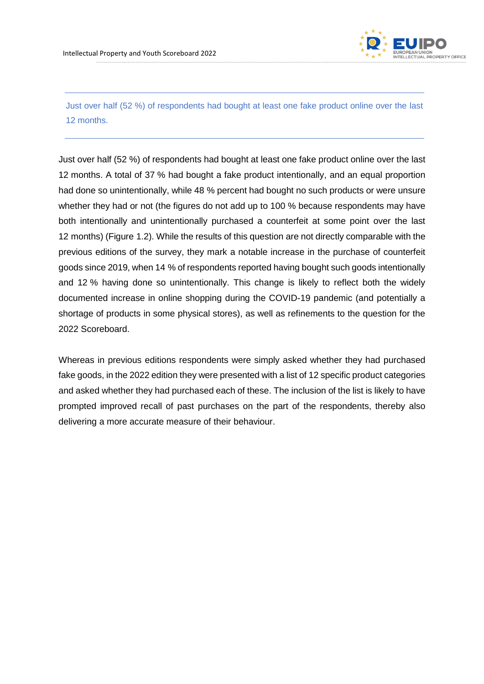

Just over half (52 %) of respondents had bought at least one fake product online over the last 12 months.

Just over half (52 %) of respondents had bought at least one fake product online over the last 12 months. A total of 37 % had bought a fake product intentionally, and an equal proportion had done so unintentionally, while 48 % percent had bought no such products or were unsure whether they had or not (the figures do not add up to 100 % because respondents may have both intentionally and unintentionally purchased a counterfeit at some point over the last 12 months) (Figure 1.2). While the results of this question are not directly comparable with the previous editions of the survey, they mark a notable increase in the purchase of counterfeit goods since 2019, when 14 % of respondents reported having bought such goods intentionally and 12 % having done so unintentionally. This change is likely to reflect both the widely documented increase in online shopping during the COVID-19 pandemic (and potentially a shortage of products in some physical stores), as well as refinements to the question for the 2022 Scoreboard.

Whereas in previous editions respondents were simply asked whether they had purchased fake goods, in the 2022 edition they were presented with a list of 12 specific product categories and asked whether they had purchased each of these. The inclusion of the list is likely to have prompted improved recall of past purchases on the part of the respondents, thereby also delivering a more accurate measure of their behaviour.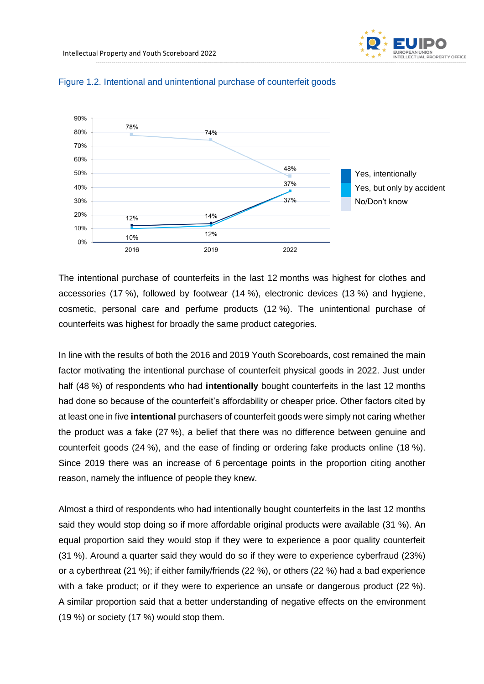



#### Figure 1.2. Intentional and unintentional purchase of counterfeit goods

The intentional purchase of counterfeits in the last 12 months was highest for clothes and accessories (17 %), followed by footwear (14 %), electronic devices (13 %) and hygiene, cosmetic, personal care and perfume products (12 %). The unintentional purchase of counterfeits was highest for broadly the same product categories.

In line with the results of both the 2016 and 2019 Youth Scoreboards, cost remained the main factor motivating the intentional purchase of counterfeit physical goods in 2022. Just under half (48 %) of respondents who had **intentionally** bought counterfeits in the last 12 months had done so because of the counterfeit's affordability or cheaper price. Other factors cited by at least one in five **intentional** purchasers of counterfeit goods were simply not caring whether the product was a fake (27 %), a belief that there was no difference between genuine and counterfeit goods (24 %), and the ease of finding or ordering fake products online (18 %). Since 2019 there was an increase of 6 percentage points in the proportion citing another reason, namely the influence of people they knew.

Almost a third of respondents who had intentionally bought counterfeits in the last 12 months said they would stop doing so if more affordable original products were available (31 %). An equal proportion said they would stop if they were to experience a poor quality counterfeit (31 %). Around a quarter said they would do so if they were to experience cyberfraud (23%) or a cyberthreat (21 %); if either family/friends (22 %), or others (22 %) had a bad experience with a fake product; or if they were to experience an unsafe or dangerous product (22 %). A similar proportion said that a better understanding of negative effects on the environment (19 %) or society (17 %) would stop them.